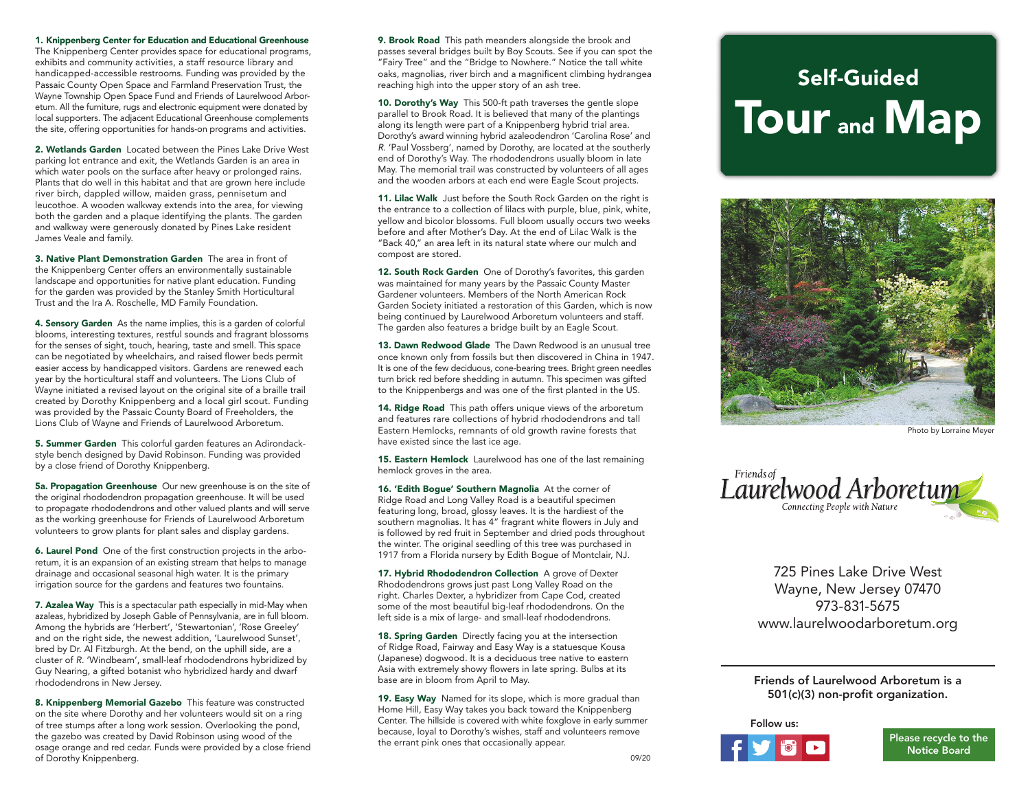1. Knippenberg Center for Education and Educational Greenhouse

The Knippenberg Center provides space for educational programs, exhibits and community activities, a staff resource library and handicapped-accessible restrooms. Funding was provided by the Passaic County Open Space and Farmland Preservation Trust, the Wayne Township Open Space Fund and Friends of Laurelwood Arboretum. All the furniture, rugs and electronic equipment were donated by local supporters. The adjacent Educational Greenhouse complements the site, offering opportunities for hands-on programs and activities.

2. Wetlands Garden Located between the Pines Lake Drive West parking lot entrance and exit, the Wetlands Garden is an area in which water pools on the surface after heavy or prolonged rains. Plants that do well in this habitat and that are grown here include river birch, dappled willow, maiden grass, pennisetum and leucothoe. A wooden walkway extends into the area, for viewing both the garden and a plaque identifying the plants. The garden and walkway were generously donated by Pines Lake resident James Veale and family.

3. Native Plant Demonstration Garden The area in front of the Knippenberg Center offers an environmentally sustainable landscape and opportunities for native plant education. Funding for the garden was provided by the Stanley Smith Horticultural Trust and the Ira A. Roschelle, MD Family Foundation.

4. Sensory Garden As the name implies, this is a garden of colorful blooms, interesting textures, restful sounds and fragrant blossoms for the senses of sight, touch, hearing, taste and smell. This space can be negotiated by wheelchairs, and raised flower beds permit easier access by handicapped visitors. Gardens are renewed each year by the horticultural staff and volunteers. The Lions Club of Wayne initiated a revised layout on the original site of a braille trail created by Dorothy Knippenberg and a local girl scout. Funding was provided by the Passaic County Board of Freeholders, the Lions Club of Wayne and Friends of Laurelwood Arboretum.

5. Summer Garden This colorful garden features an Adirondackstyle bench designed by David Robinson. Funding was provided by a close friend of Dorothy Knippenberg.

5a. Propagation Greenhouse Our new greenhouse is on the site of the original rhododendron propagation greenhouse. It will be used to propagate rhododendrons and other valued plants and will serve as the working greenhouse for Friends of Laurelwood Arboretum volunteers to grow plants for plant sales and display gardens.

6. Laurel Pond One of the first construction projects in the arboretum, it is an expansion of an existing stream that helps to manage drainage and occasional seasonal high water. It is the primary irrigation source for the gardens and features two fountains.

7. Azalea Way This is a spectacular path especially in mid-May when azaleas, hybridized by Joseph Gable of Pennsylvania, are in full bloom. Among the hybrids are 'Herbert', 'Stewartonian', 'Rose Greeley' and on the right side, the newest addition, 'Laurelwood Sunset', bred by Dr. Al Fitzburgh. At the bend, on the uphill side, are a cluster of *R.* 'Windbeam', small-leaf rhododendrons hybridized by Guy Nearing, a gifted botanist who hybridized hardy and dwarf rhododendrons in New Jersey.

8. Knippenberg Memorial Gazebo This feature was constructed on the site where Dorothy and her volunteers would sit on a ring of tree stumps after a long work session. Overlooking the pond, the gazebo was created by David Robinson using wood of the osage orange and red cedar. Funds were provided by a close friend of Dorothy Knippenberg.

9. Brook Road This path meanders alongside the brook and passes several bridges built by Boy Scouts. See if you can spot the "Fairy Tree" and the "Bridge to Nowhere." Notice the tall white oaks, magnolias, river birch and a magnificent climbing hydrangea reaching high into the upper story of an ash tree.

10. Dorothy's Way This 500-ft path traverses the gentle slope parallel to Brook Road. It is believed that many of the plantings along its length were part of a Knippenberg hybrid trial area. Dorothy's award winning hybrid azaleodendron 'Carolina Rose' and *R*. 'Paul Vossberg', named by Dorothy, are located at the southerly end of Dorothy's Way. The rhododendrons usually bloom in late May. The memorial trail was constructed by volunteers of all ages and the wooden arbors at each end were Eagle Scout projects.

11. Lilac Walk Just before the South Rock Garden on the right is the entrance to a collection of lilacs with purple, blue, pink, white, yellow and bicolor blossoms. Full bloom usually occurs two weeks before and after Mother's Day. At the end of Lilac Walk is the "Back 40," an area left in its natural state where our mulch and compost are stored.

12. South Rock Garden One of Dorothy's favorites, this garden was maintained for many years by the Passaic County Master Gardener volunteers. Members of the North American Rock Garden Society initiated a restoration of this Garden, which is now being continued by Laurelwood Arboretum volunteers and staff. The garden also features a bridge built by an Eagle Scout.

13. Dawn Redwood Glade The Dawn Redwood is an unusual tree once known only from fossils but then discovered in China in 1947. It is one of the few deciduous, cone-bearing trees. Bright green needles turn brick red before shedding in autumn. This specimen was gifted to the Knippenbergs and was one of the first planted in the US.

14. Ridge Road This path offers unique views of the arboretum and features rare collections of hybrid rhododendrons and tall Eastern Hemlocks, remnants of old growth ravine forests that have existed since the last ice age.

15. Eastern Hemlock Laurelwood has one of the last remaining hemlock groves in the area.

16. 'Edith Bogue' Southern Magnolia At the corner of Ridge Road and Long Valley Road is a beautiful specimen featuring long, broad, glossy leaves. It is the hardiest of the southern magnolias. It has 4" fragrant white flowers in July and is followed by red fruit in September and dried pods throughout the winter. The original seedling of this tree was purchased in 1917 from a Florida nursery by Edith Bogue of Montclair, NJ.

17. Hybrid Rhododendron Collection A grove of Dexter Rhododendrons grows just past Long Valley Road on the right. Charles Dexter, a hybridizer from Cape Cod, created some of the most beautiful big-leaf rhododendrons. On the left side is a mix of large- and small-leaf rhododendrons.

18. Spring Garden Directly facing you at the intersection of Ridge Road, Fairway and Easy Way is a statuesque Kousa (Japanese) dogwood. It is a deciduous tree native to eastern Asia with extremely showy flowers in late spring. Bulbs at its base are in bloom from April to May.

19. Easy Way Named for its slope, which is more gradual than Home Hill, Easy Way takes you back toward the Knippenberg Center. The hillside is covered with white foxglove in early summer because, loyal to Dorothy's wishes, staff and volunteers remove the errant pink ones that occasionally appear.

## Self-Guided Tour and Map



Photo by Lorraine Meyer



725 Pines Lake Drive West Wayne, New Jersey 07470 973-831-5675 www.laurelwoodarboretum.org

## Friends of Laurelwood Arboretum is a 501(c)(3) non-profit organization.

## Follow us: